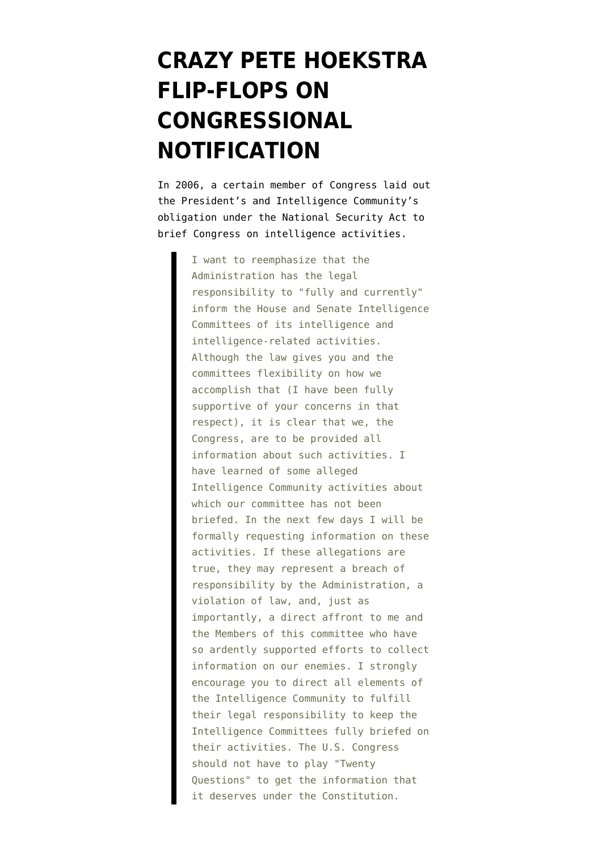## **[CRAZY PETE HOEKSTRA](https://www.emptywheel.net/2009/05/15/crazy-pete-hoekstra-flip-flops-on-congressional-notification/) [FLIP-FLOPS ON](https://www.emptywheel.net/2009/05/15/crazy-pete-hoekstra-flip-flops-on-congressional-notification/) [CONGRESSIONAL](https://www.emptywheel.net/2009/05/15/crazy-pete-hoekstra-flip-flops-on-congressional-notification/) [NOTIFICATION](https://www.emptywheel.net/2009/05/15/crazy-pete-hoekstra-flip-flops-on-congressional-notification/)**

In 2006, a certain member of Congress [laid out](http://www.nytimes.com/packages/pdf/national/20060709hoekstra.pdf) the President's and Intelligence Community's obligation under the National Security Act to brief Congress on intelligence activities.

> I want to reemphasize that the Administration has the legal responsibility to "fully and currently" inform the House and Senate Intelligence Committees of its intelligence and intelligence-related activities. Although the law gives you and the committees flexibility on how we accomplish that (I have been fully supportive of your concerns in that respect), it is clear that we, the Congress, are to be provided all information about such activities. I have learned of some alleged Intelligence Community activities about which our committee has not been briefed. In the next few days I will be formally requesting information on these activities. If these allegations are true, they may represent a breach of responsibility by the Administration, a violation of law, and, just as importantly, a direct affront to me and the Members of this committee who have so ardently supported efforts to collect information on our enemies. I strongly encourage you to direct all elements of the Intelligence Community to fulfill their legal responsibility to keep the Intelligence Committees fully briefed on their activities. The U.S. Congress should not have to play "Twenty Questions" to get the information that it deserves under the Constitution.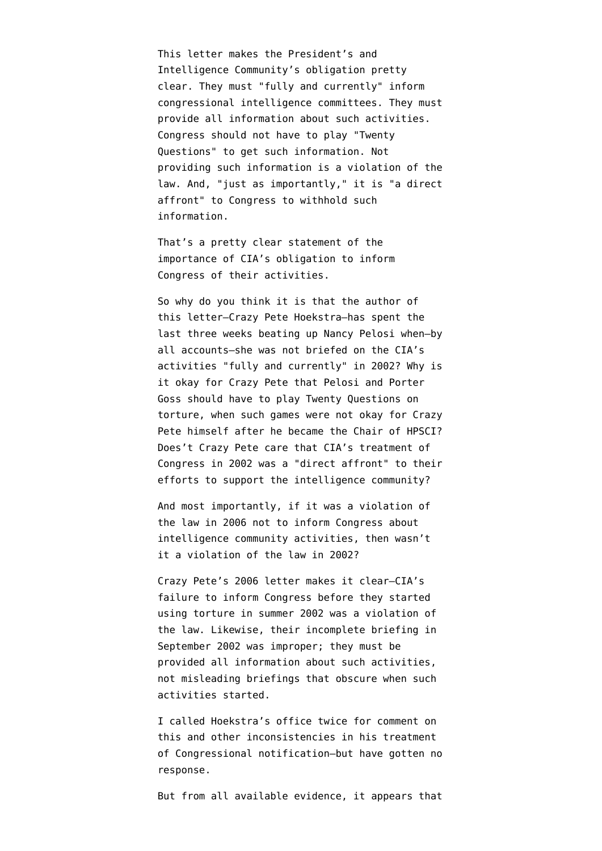This letter makes the President's and Intelligence Community's obligation pretty clear. They must "fully and currently" inform congressional intelligence committees. They must provide all information about such activities. Congress should not have to play "Twenty Questions" to get such information. Not providing such information is a violation of the law. And, "just as importantly," it is "a direct affront" to Congress to withhold such information.

That's a pretty clear statement of the importance of CIA's obligation to inform Congress of their activities.

So why do you think it is that the author of this letter–Crazy Pete Hoekstra–has spent the last three weeks beating up Nancy Pelosi when–by all accounts–she was not briefed on the CIA's activities "fully and currently" in 2002? Why is it okay for Crazy Pete that Pelosi and Porter Goss should have to play Twenty Questions on torture, when such games were not okay for Crazy Pete himself after he became the Chair of HPSCI? Does't Crazy Pete care that CIA's treatment of Congress in 2002 was a "direct affront" to their efforts to support the intelligence community?

And most importantly, if it was a violation of the law in 2006 not to inform Congress about intelligence community activities, then wasn't it a violation of the law in 2002?

Crazy Pete's 2006 letter makes it clear–CIA's failure to inform Congress before they started using torture in summer 2002 was a violation of the law. Likewise, their incomplete briefing in September 2002 was improper; they must be provided all information about such activities, not misleading briefings that obscure when such activities started.

I called Hoekstra's office twice for comment on this and other inconsistencies in his treatment of Congressional notification–but have gotten no response.

But from all available evidence, it appears that